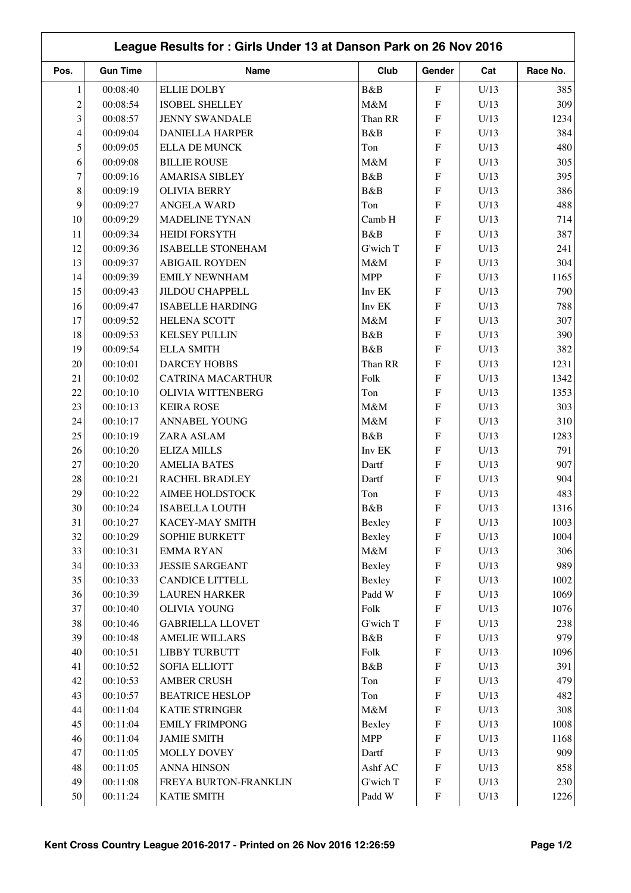|                | League Results for: Girls Under 13 at Danson Park on 26 Nov 2016 |                          |            |                                        |              |             |  |  |
|----------------|------------------------------------------------------------------|--------------------------|------------|----------------------------------------|--------------|-------------|--|--|
| Pos.           | <b>Gun Time</b>                                                  | Name                     | Club       | Gender                                 | Cat          | Race No.    |  |  |
| $\mathbf{1}$   | 00:08:40                                                         | <b>ELLIE DOLBY</b>       | B&B        | ${\bf F}$                              | U/13         | 385         |  |  |
| $\overline{c}$ | 00:08:54                                                         | <b>ISOBEL SHELLEY</b>    | M&M        | ${\bf F}$                              | U/13         | 309         |  |  |
| 3              | 00:08:57                                                         | <b>JENNY SWANDALE</b>    | Than RR    | ${\rm F}$                              | U/13         | 1234        |  |  |
| 4              | 00:09:04                                                         | <b>DANIELLA HARPER</b>   | B&B        | ${\rm F}$                              | U/13         | 384         |  |  |
| 5              | 00:09:05                                                         | <b>ELLA DE MUNCK</b>     | Ton        | ${\rm F}$                              | U/13         | 480         |  |  |
| 6              | 00:09:08                                                         | <b>BILLIE ROUSE</b>      | M&M        | ${\bf F}$                              | U/13         | 305         |  |  |
| $\tau$         | 00:09:16                                                         | <b>AMARISA SIBLEY</b>    | B&B        | F                                      | U/13         | 395         |  |  |
| 8              | 00:09:19                                                         | <b>OLIVIA BERRY</b>      | B&B        | ${\bf F}$                              | U/13         | 386         |  |  |
| 9              | 00:09:27                                                         | <b>ANGELA WARD</b>       | Ton        | F                                      | U/13         | 488         |  |  |
| 10             | 00:09:29                                                         | <b>MADELINE TYNAN</b>    | Camb H     | F                                      | U/13         | 714         |  |  |
| 11             | 00:09:34                                                         | <b>HEIDI FORSYTH</b>     | B&B        | F                                      | U/13         | 387         |  |  |
| 12             | 00:09:36                                                         | <b>ISABELLE STONEHAM</b> | G'wich T   | F                                      | U/13         | 241         |  |  |
| 13             | 00:09:37                                                         | <b>ABIGAIL ROYDEN</b>    | M&M        | F                                      | U/13         | 304         |  |  |
| 14             | 00:09:39                                                         | <b>EMILY NEWNHAM</b>     | <b>MPP</b> | F                                      | U/13         | 1165        |  |  |
| 15             | 00:09:43                                                         | <b>JILDOU CHAPPELL</b>   | Inv EK     | $\boldsymbol{\mathrm{F}}$              | U/13         | 790         |  |  |
| 16             | 00:09:47                                                         | <b>ISABELLE HARDING</b>  | Inv EK     | ${\bf F}$                              | U/13         | 788         |  |  |
| 17             | 00:09:52                                                         | <b>HELENA SCOTT</b>      | M&M        | F                                      | U/13         | 307         |  |  |
| 18             | 00:09:53                                                         | <b>KELSEY PULLIN</b>     | B&B        | F                                      | U/13         | 390         |  |  |
| 19             | 00:09:54                                                         | <b>ELLA SMITH</b>        | B&B        | ${\rm F}$                              | U/13         | 382         |  |  |
| 20             | 00:10:01                                                         | <b>DARCEY HOBBS</b>      | Than RR    | ${\bf F}$                              | U/13         | 1231        |  |  |
| 21             | 00:10:02                                                         | <b>CATRINA MACARTHUR</b> | Folk       | ${\rm F}$                              | U/13         | 1342        |  |  |
| 22             | 00:10:10                                                         | <b>OLIVIA WITTENBERG</b> | Ton        | ${\bf F}$                              | U/13         | 1353        |  |  |
| 23             | 00:10:13                                                         | <b>KEIRA ROSE</b>        | M&M        | ${\bf F}$                              | U/13         | 303         |  |  |
| 24             | 00:10:17                                                         | <b>ANNABEL YOUNG</b>     | M&M        | $\boldsymbol{\mathrm{F}}$              | U/13         | 310         |  |  |
| 25             | 00:10:19                                                         | ZARA ASLAM               | B&B        | ${\bf F}$                              | U/13         | 1283        |  |  |
| 26             | 00:10:20                                                         | <b>ELIZA MILLS</b>       | Inv EK     | F                                      | U/13         | 791         |  |  |
| 27             | 00:10:20                                                         | <b>AMELIA BATES</b>      | Dartf      | ${\bf F}$                              | U/13         | 907         |  |  |
| 28             | 00:10:21                                                         | RACHEL BRADLEY           | Dartf      | ${\bf F}$                              | U/13         | 904         |  |  |
| 29             | 00:10:22                                                         | <b>AIMEE HOLDSTOCK</b>   | Ton        | ${\bf F}$                              | U/13         | 483         |  |  |
| 30             | 00:10:24                                                         | <b>ISABELLA LOUTH</b>    | B&B        | F                                      | U/13         | 1316        |  |  |
| 31             | 00:10:27                                                         | KACEY-MAY SMITH          | Bexley     | $\boldsymbol{\mathrm{F}}$              | U/13         | 1003        |  |  |
| 32             | 00:10:29                                                         | <b>SOPHIE BURKETT</b>    | Bexley     | ${\bf F}$                              | U/13         | 1004        |  |  |
| 33             | 00:10:31                                                         | <b>EMMARYAN</b>          | M&M        | ${\bf F}$                              | U/13         | 306         |  |  |
| 34             | 00:10:33                                                         | <b>JESSIE SARGEANT</b>   | Bexley     | ${\bf F}$                              | U/13         | 989         |  |  |
| 35             | 00:10:33                                                         | <b>CANDICE LITTELL</b>   | Bexley     | $\boldsymbol{\mathrm{F}}$              | U/13         | 1002        |  |  |
| 36             | 00:10:39                                                         | <b>LAUREN HARKER</b>     | Padd W     | $\boldsymbol{\mathrm{F}}$              | U/13         | 1069        |  |  |
| 37             | 00:10:40                                                         | <b>OLIVIA YOUNG</b>      | Folk       | $\boldsymbol{\mathrm{F}}$              | U/13         | 1076        |  |  |
| 38             | 00:10:46                                                         | <b>GABRIELLA LLOVET</b>  | G'wich T   | $\boldsymbol{\mathrm{F}}$              | U/13         | 238         |  |  |
| 39             | 00:10:48                                                         | <b>AMELIE WILLARS</b>    | B&B        | $\boldsymbol{\mathrm{F}}$              | U/13         | 979         |  |  |
| 40             | 00:10:51                                                         | <b>LIBBY TURBUTT</b>     | Folk       | ${\bf F}$                              | U/13         | 1096        |  |  |
| 41             | 00:10:52                                                         | <b>SOFIA ELLIOTT</b>     | B&B        | $\boldsymbol{\mathrm{F}}$              | U/13         | 391         |  |  |
| 42             | 00:10:53                                                         | <b>AMBER CRUSH</b>       | Ton        | ${\bf F}$                              | U/13         | 479         |  |  |
| 43             | 00:10:57                                                         | <b>BEATRICE HESLOP</b>   |            | $\boldsymbol{\mathrm{F}}$              |              | 482         |  |  |
| 44             | 00:11:04                                                         | KATIE STRINGER           | Ton<br>M&M | ${\rm F}$                              | U/13<br>U/13 | 308         |  |  |
| 45             |                                                                  |                          |            |                                        |              | 1008        |  |  |
|                | 00:11:04                                                         | <b>EMILY FRIMPONG</b>    | Bexley     | $\boldsymbol{\mathrm{F}}$              | U/13         |             |  |  |
| 46<br>47       | 00:11:04                                                         | <b>JAMIE SMITH</b>       | <b>MPP</b> | $\boldsymbol{\mathrm{F}}$<br>${\bf F}$ | U/13         | 1168<br>909 |  |  |
|                | 00:11:05                                                         | <b>MOLLY DOVEY</b>       | Dartf      |                                        | U/13         | 858         |  |  |
| 48             | 00:11:05                                                         | <b>ANNA HINSON</b>       | Ashf AC    | $\boldsymbol{\mathrm{F}}$              | U/13         |             |  |  |
| 49             | 00:11:08                                                         | FREYA BURTON-FRANKLIN    | G'wich T   | $\boldsymbol{\mathrm{F}}$              | U/13         | 230         |  |  |
| 50             | 00:11:24                                                         | <b>KATIE SMITH</b>       | Padd W     | $\boldsymbol{\mathrm{F}}$              | U/13         | 1226        |  |  |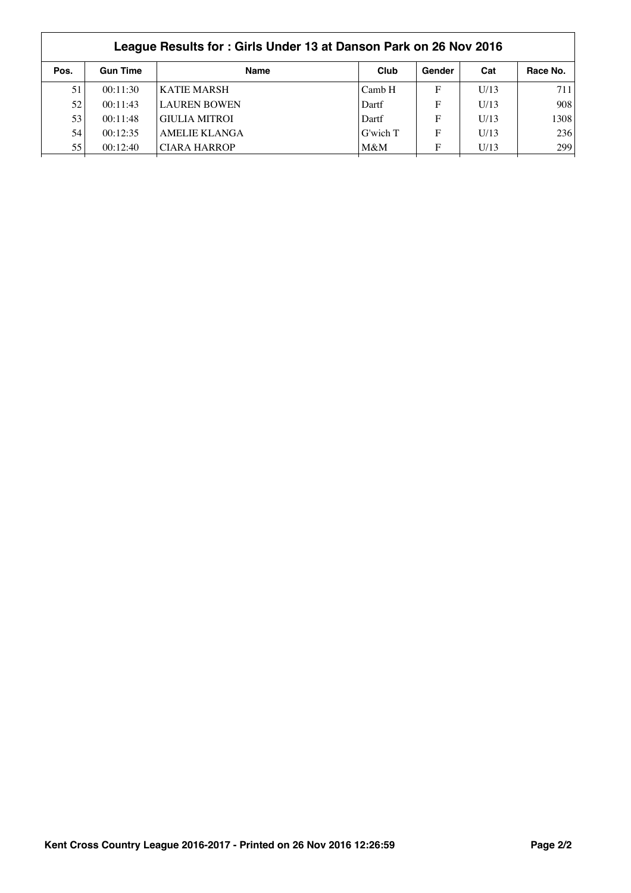|      | League Results for: Girls Under 13 at Danson Park on 26 Nov 2016 |                      |          |        |      |          |  |  |
|------|------------------------------------------------------------------|----------------------|----------|--------|------|----------|--|--|
| Pos. | <b>Gun Time</b>                                                  | <b>Name</b>          | Club     | Gender | Cat  | Race No. |  |  |
| 51   | 00:11:30                                                         | <b>KATIE MARSH</b>   | Camb H   | F      | U/13 | 711      |  |  |
| 52   | 00:11:43                                                         | <b>LAUREN BOWEN</b>  | Dartf    | F      | U/13 | 908      |  |  |
| 53   | 00:11:48                                                         | <b>GIULIA MITROI</b> | Dartf    | F      | U/13 | 1308     |  |  |
| 54   | 00:12:35                                                         | <b>AMELIE KLANGA</b> | G'wich T | F      | U/13 | 236      |  |  |
| 55   | 00:12:40                                                         | <b>CIARA HARROP</b>  | M&M      | F      | U/13 | 299      |  |  |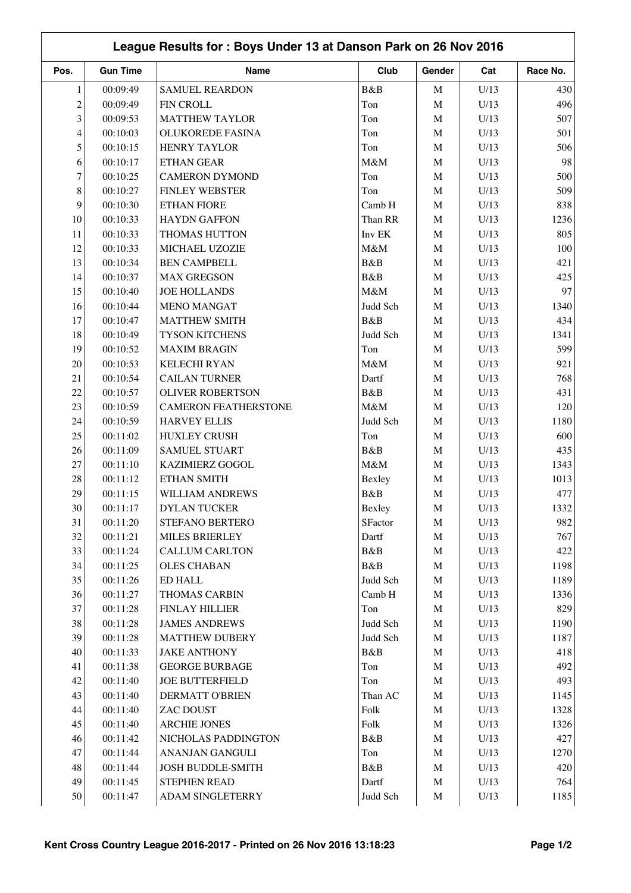| League Results for: Boys Under 13 at Danson Park on 26 Nov 2016 |                 |                                       |               |             |      |          |
|-----------------------------------------------------------------|-----------------|---------------------------------------|---------------|-------------|------|----------|
| Pos.                                                            | <b>Gun Time</b> | Name                                  | Club          | Gender      | Cat  | Race No. |
| 1                                                               | 00:09:49        | <b>SAMUEL REARDON</b>                 | B&B           | $\mathbf M$ | U/13 | 430      |
| $\overline{c}$                                                  | 00:09:49        | <b>FIN CROLL</b>                      | Ton           | $\mathbf M$ | U/13 | 496      |
| 3                                                               | 00:09:53        | <b>MATTHEW TAYLOR</b>                 | Ton           | $\mathbf M$ | U/13 | 507      |
| 4                                                               | 00:10:03        | <b>OLUKOREDE FASINA</b>               | Ton           | $\mathbf M$ | U/13 | 501      |
| 5                                                               | 00:10:15        | <b>HENRY TAYLOR</b>                   | Ton           | $\mathbf M$ | U/13 | 506      |
| 6                                                               | 00:10:17        | <b>ETHAN GEAR</b>                     | M&M           | $\mathbf M$ | U/13 | 98       |
| 7                                                               | 00:10:25        | <b>CAMERON DYMOND</b>                 | Ton           | $\mathbf M$ | U/13 | 500      |
| 8                                                               | 00:10:27        | <b>FINLEY WEBSTER</b>                 | Ton           | $\mathbf M$ | U/13 | 509      |
| 9                                                               | 00:10:30        | <b>ETHAN FIORE</b>                    | Camb H        | $\mathbf M$ | U/13 | 838      |
| 10                                                              | 00:10:33        | <b>HAYDN GAFFON</b>                   | Than RR       | $\mathbf M$ | U/13 | 1236     |
| 11                                                              | 00:10:33        | THOMAS HUTTON                         | Inv EK        | M           | U/13 | 805      |
| 12                                                              | 00:10:33        | MICHAEL UZOZIE                        | $M\&M$        | $\mathbf M$ | U/13 | 100      |
| 13                                                              | 00:10:34        | <b>BEN CAMPBELL</b>                   | B&B           | $\mathbf M$ | U/13 | 421      |
| 14                                                              | 00:10:37        | <b>MAX GREGSON</b>                    | B&B           | $\mathbf M$ | U/13 | 425      |
| 15                                                              | 00:10:40        | <b>JOE HOLLANDS</b>                   | M&M           | $\mathbf M$ | U/13 | 97       |
| 16                                                              | 00:10:44        | <b>MENO MANGAT</b>                    | Judd Sch      | $\mathbf M$ | U/13 | 1340     |
| 17                                                              | 00:10:47        | <b>MATTHEW SMITH</b>                  | B&B           | $\mathbf M$ | U/13 | 434      |
| 18                                                              | 00:10:49        | TYSON KITCHENS                        | Judd Sch      | $\mathbf M$ | U/13 | 1341     |
| 19                                                              | 00:10:52        | <b>MAXIM BRAGIN</b>                   | Ton           | $\mathbf M$ | U/13 | 599      |
| 20                                                              | 00:10:53        | <b>KELECHI RYAN</b>                   | M&M           | $\mathbf M$ | U/13 | 921      |
| 21                                                              | 00:10:54        | <b>CAILAN TURNER</b>                  | Dartf         | $\mathbf M$ | U/13 | 768      |
| 22                                                              | 00:10:57        | <b>OLIVER ROBERTSON</b>               | B&B           | $\mathbf M$ | U/13 | 431      |
| 23                                                              | 00:10:59        | <b>CAMERON FEATHERSTONE</b>           | M&M           | $\mathbf M$ | U/13 | 120      |
| 24                                                              | 00:10:59        | <b>HARVEY ELLIS</b>                   | Judd Sch      | M           | U/13 | 1180     |
| 25                                                              | 00:11:02        | <b>HUXLEY CRUSH</b>                   | Ton           | M           | U/13 | 600      |
| 26                                                              | 00:11:09        | <b>SAMUEL STUART</b>                  | B&B           | M           | U/13 | 435      |
| 27                                                              | 00:11:10        | KAZIMIERZ GOGOL                       | $M\&M$        | $\mathbf M$ | U/13 | 1343     |
| $28\,$                                                          | 00:11:12        |                                       |               |             |      |          |
| 29                                                              |                 | ETHAN SMITH<br><b>WILLIAM ANDREWS</b> | Bexley<br>B&B | $\mathbf M$ | U/13 | 1013     |
|                                                                 | 00:11:15        |                                       |               | $\mathbf M$ | U/13 | 477      |
| $30\,$                                                          | 00:11:17        | DYLAN TUCKER                          | Bexley        | M           | U/13 | 1332     |
| 31                                                              | 00:11:20        | STEFANO BERTERO                       | SFactor       | M           | U/13 | 982      |
| 32                                                              | 00:11:21        | <b>MILES BRIERLEY</b>                 | Dartf         | M           | U/13 | 767      |
| 33                                                              | 00:11:24        | <b>CALLUM CARLTON</b>                 | B&B           | $\mathbf M$ | U/13 | 422      |
| 34                                                              | 00:11:25        | <b>OLES CHABAN</b>                    | B&B           | M           | U/13 | 1198     |
| 35                                                              | 00:11:26        | ED HALL                               | Judd Sch      | $\mathbf M$ | U/13 | 1189     |
| 36                                                              | 00:11:27        | THOMAS CARBIN                         | Camb H        | M           | U/13 | 1336     |
| 37                                                              | 00:11:28        | <b>FINLAY HILLIER</b>                 | Ton           | M           | U/13 | 829      |
| 38                                                              | 00:11:28        | <b>JAMES ANDREWS</b>                  | Judd Sch      | M           | U/13 | 1190     |
| 39                                                              | 00:11:28        | <b>MATTHEW DUBERY</b>                 | Judd Sch      | $\mathbf M$ | U/13 | 1187     |
| 40                                                              | 00:11:33        | <b>JAKE ANTHONY</b>                   | B&B           | $\mathbf M$ | U/13 | 418      |
| 41                                                              | 00:11:38        | <b>GEORGE BURBAGE</b>                 | Ton           | M           | U/13 | 492      |
| $42\,$                                                          | 00:11:40        | <b>JOE BUTTERFIELD</b>                | Ton           | M           | U/13 | 493      |
| 43                                                              | 00:11:40        | <b>DERMATT O'BRIEN</b>                | Than AC       | M           | U/13 | 1145     |
| 44                                                              | 00:11:40        | ZAC DOUST                             | Folk          | M           | U/13 | 1328     |
| 45                                                              | 00:11:40        | <b>ARCHIE JONES</b>                   | Folk          | M           | U/13 | 1326     |
| 46                                                              | 00:11:42        | NICHOLAS PADDINGTON                   | B&B           | $\mathbf M$ | U/13 | 427      |
| 47                                                              | 00:11:44        | ANANJAN GANGULI                       | Ton           | $\mathbf M$ | U/13 | 1270     |
| 48                                                              | 00:11:44        | JOSH BUDDLE-SMITH                     | B&B           | $\mathbf M$ | U/13 | 420      |
| 49                                                              | 00:11:45        | STEPHEN READ                          | Dartf         | $\mathbf M$ | U/13 | 764      |
| 50                                                              | 00:11:47        | ADAM SINGLETERRY                      | Judd Sch      | M           | U/13 | 1185     |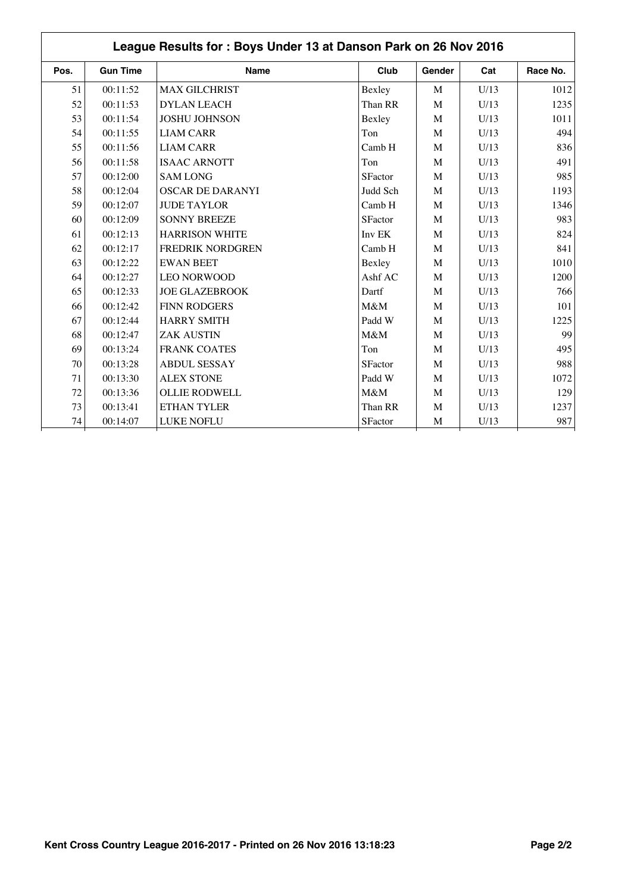|      | League Results for: Boys Under 13 at Danson Park on 26 Nov 2016 |                         |                |        |      |          |  |  |
|------|-----------------------------------------------------------------|-------------------------|----------------|--------|------|----------|--|--|
| Pos. | <b>Gun Time</b>                                                 | <b>Name</b>             | Club           | Gender | Cat  | Race No. |  |  |
| 51   | 00:11:52                                                        | <b>MAX GILCHRIST</b>    | Bexley         | M      | U/13 | 1012     |  |  |
| 52   | 00:11:53                                                        | <b>DYLAN LEACH</b>      | Than RR        | M      | U/13 | 1235     |  |  |
| 53   | 00:11:54                                                        | <b>JOSHU JOHNSON</b>    | Bexley         | M      | U/13 | 1011     |  |  |
| 54   | 00:11:55                                                        | <b>LIAM CARR</b>        | Ton            | M      | U/13 | 494      |  |  |
| 55   | 00:11:56                                                        | <b>LIAM CARR</b>        | Camb H         | M      | U/13 | 836      |  |  |
| 56   | 00:11:58                                                        | <b>ISAAC ARNOTT</b>     | Ton            | M      | U/13 | 491      |  |  |
| 57   | 00:12:00                                                        | <b>SAM LONG</b>         | SFactor        | M      | U/13 | 985      |  |  |
| 58   | 00:12:04                                                        | <b>OSCAR DE DARANYI</b> | Judd Sch       | M      | U/13 | 1193     |  |  |
| 59   | 00:12:07                                                        | <b>JUDE TAYLOR</b>      | Camb H         | M      | U/13 | 1346     |  |  |
| 60   | 00:12:09                                                        | <b>SONNY BREEZE</b>     | <b>SFactor</b> | M      | U/13 | 983      |  |  |
| 61   | 00:12:13                                                        | <b>HARRISON WHITE</b>   | Inv EK         | M      | U/13 | 824      |  |  |
| 62   | 00:12:17                                                        | <b>FREDRIK NORDGREN</b> | Camb H         | M      | U/13 | 841      |  |  |
| 63   | 00:12:22                                                        | <b>EWAN BEET</b>        | Bexley         | M      | U/13 | 1010     |  |  |
| 64   | 00:12:27                                                        | <b>LEO NORWOOD</b>      | Ashf AC        | M      | U/13 | 1200     |  |  |
| 65   | 00:12:33                                                        | <b>JOE GLAZEBROOK</b>   | Dartf          | M      | U/13 | 766      |  |  |
| 66   | 00:12:42                                                        | <b>FINN RODGERS</b>     | $M\&M$         | M      | U/13 | 101      |  |  |
| 67   | 00:12:44                                                        | <b>HARRY SMITH</b>      | Padd W         | M      | U/13 | 1225     |  |  |
| 68   | 00:12:47                                                        | <b>ZAK AUSTIN</b>       | M&M            | M      | U/13 | 99       |  |  |
| 69   | 00:13:24                                                        | <b>FRANK COATES</b>     | Ton            | M      | U/13 | 495      |  |  |
| 70   | 00:13:28                                                        | <b>ABDUL SESSAY</b>     | SFactor        | M      | U/13 | 988      |  |  |
| 71   | 00:13:30                                                        | <b>ALEX STONE</b>       | Padd W         | M      | U/13 | 1072     |  |  |
| 72   | 00:13:36                                                        | <b>OLLIE RODWELL</b>    | $M\&M$         | M      | U/13 | 129      |  |  |
| 73   | 00:13:41                                                        | <b>ETHAN TYLER</b>      | Than RR        | M      | U/13 | 1237     |  |  |
| 74   | 00:14:07                                                        | LUKE NOFLU              | <b>SFactor</b> | M      | U/13 | 987      |  |  |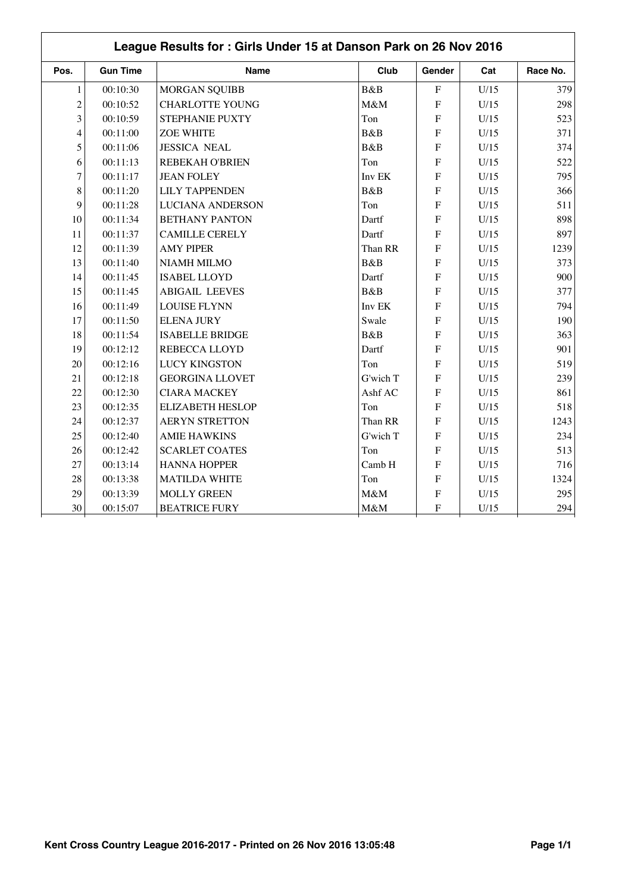|                | League Results for: Girls Under 15 at Danson Park on 26 Nov 2016 |                         |          |                |      |          |  |  |  |
|----------------|------------------------------------------------------------------|-------------------------|----------|----------------|------|----------|--|--|--|
| Pos.           | <b>Gun Time</b>                                                  | <b>Name</b>             | Club     | Gender         | Cat  | Race No. |  |  |  |
| $\mathbf{1}$   | 00:10:30                                                         | <b>MORGAN SQUIBB</b>    | B&B      | $\mathbf F$    | U/15 | 379      |  |  |  |
| $\overline{c}$ | 00:10:52                                                         | <b>CHARLOTTE YOUNG</b>  | M&M      | $\mathbf F$    | U/15 | 298      |  |  |  |
| 3              | 00:10:59                                                         | STEPHANIE PUXTY         | Ton      | $\overline{F}$ | U/15 | 523      |  |  |  |
| 4              | 00:11:00                                                         | <b>ZOE WHITE</b>        | B&B      | $\overline{F}$ | U/15 | 371      |  |  |  |
| 5              | 00:11:06                                                         | <b>JESSICA NEAL</b>     | B&B      | F              | U/15 | 374      |  |  |  |
| 6              | 00:11:13                                                         | <b>REBEKAH O'BRIEN</b>  | Ton      | F              | U/15 | 522      |  |  |  |
| $\overline{7}$ | 00:11:17                                                         | <b>JEAN FOLEY</b>       | Inv EK   | $\overline{F}$ | U/15 | 795      |  |  |  |
| 8              | 00:11:20                                                         | <b>LILY TAPPENDEN</b>   | B&B      | ${\bf F}$      | U/15 | 366      |  |  |  |
| 9              | 00:11:28                                                         | <b>LUCIANA ANDERSON</b> | Ton      | $\overline{F}$ | U/15 | 511      |  |  |  |
| 10             | 00:11:34                                                         | <b>BETHANY PANTON</b>   | Dartf    | ${\bf F}$      | U/15 | 898      |  |  |  |
| 11             | 00:11:37                                                         | <b>CAMILLE CERELY</b>   | Dartf    | $\mathbf F$    | U/15 | 897      |  |  |  |
| 12             | 00:11:39                                                         | <b>AMY PIPER</b>        | Than RR  | $\overline{F}$ | U/15 | 1239     |  |  |  |
| 13             | 00:11:40                                                         | NIAMH MILMO             | B&B      | $\overline{F}$ | U/15 | 373      |  |  |  |
| 14             | 00:11:45                                                         | <b>ISABEL LLOYD</b>     | Dartf    | $\overline{F}$ | U/15 | 900      |  |  |  |
| 15             | 00:11:45                                                         | <b>ABIGAIL LEEVES</b>   | B&B      | F              | U/15 | 377      |  |  |  |
| 16             | 00:11:49                                                         | <b>LOUISE FLYNN</b>     | Inv EK   | $\overline{F}$ | U/15 | 794      |  |  |  |
| 17             | 00:11:50                                                         | <b>ELENA JURY</b>       | Swale    | $\mathbf F$    | U/15 | 190      |  |  |  |
| 18             | 00:11:54                                                         | <b>ISABELLE BRIDGE</b>  | B&B      | ${\bf F}$      | U/15 | 363      |  |  |  |
| 19             | 00:12:12                                                         | REBECCA LLOYD           | Dartf    | ${\bf F}$      | U/15 | 901      |  |  |  |
| 20             | 00:12:16                                                         | <b>LUCY KINGSTON</b>    | Ton      | $\mathbf F$    | U/15 | 519      |  |  |  |
| 21             | 00:12:18                                                         | <b>GEORGINA LLOVET</b>  | G'wich T | $\overline{F}$ | U/15 | 239      |  |  |  |
| 22             | 00:12:30                                                         | <b>CIARA MACKEY</b>     | Ashf AC  | $\overline{F}$ | U/15 | 861      |  |  |  |
| 23             | 00:12:35                                                         | <b>ELIZABETH HESLOP</b> | Ton      | $\overline{F}$ | U/15 | 518      |  |  |  |
| 24             | 00:12:37                                                         | <b>AERYN STRETTON</b>   | Than RR  | F              | U/15 | 1243     |  |  |  |
| 25             | 00:12:40                                                         | <b>AMIE HAWKINS</b>     | G'wich T | ${\bf F}$      | U/15 | 234      |  |  |  |
| 26             | 00:12:42                                                         | <b>SCARLET COATES</b>   | Ton      | $\overline{F}$ | U/15 | 513      |  |  |  |
| 27             | 00:13:14                                                         | <b>HANNA HOPPER</b>     | Camb H   | ${\bf F}$      | U/15 | 716      |  |  |  |
| 28             | 00:13:38                                                         | <b>MATILDA WHITE</b>    | Ton      | ${\bf F}$      | U/15 | 1324     |  |  |  |
| 29             | 00:13:39                                                         | <b>MOLLY GREEN</b>      | M&M      | ${\bf F}$      | U/15 | 295      |  |  |  |
| 30             | 00:15:07                                                         | <b>BEATRICE FURY</b>    | M&M      | ${\bf F}$      | U/15 | 294      |  |  |  |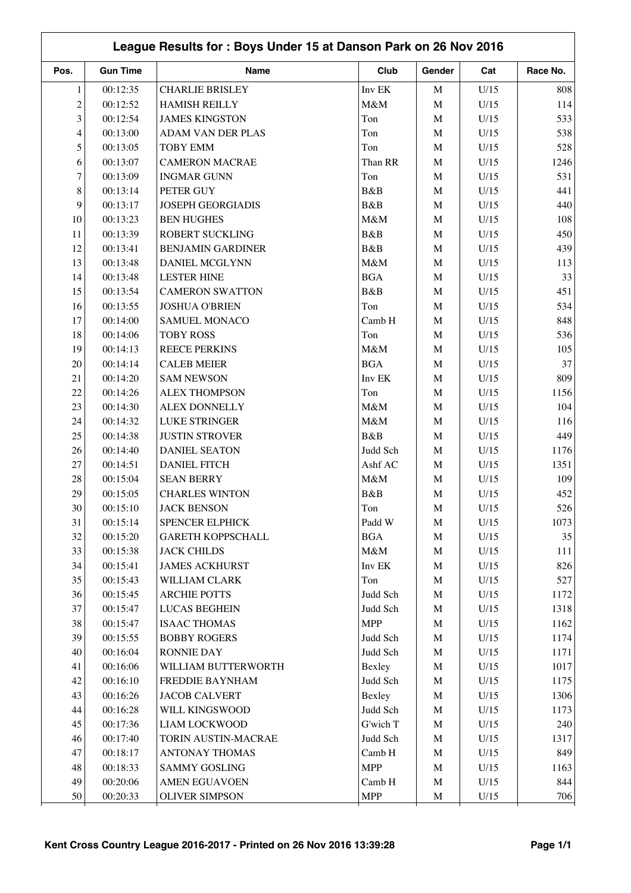|                          | League Results for: Boys Under 15 at Danson Park on 26 Nov 2016 |                          |            |             |      |          |  |  |
|--------------------------|-----------------------------------------------------------------|--------------------------|------------|-------------|------|----------|--|--|
| Pos.                     | <b>Gun Time</b>                                                 | Name                     | Club       | Gender      | Cat  | Race No. |  |  |
| $\mathbf{1}$             | 00:12:35                                                        | <b>CHARLIE BRISLEY</b>   | Inv EK     | M           | U/15 | 808      |  |  |
| $\overline{c}$           | 00:12:52                                                        | <b>HAMISH REILLY</b>     | M&M        | $\mathbf M$ | U/15 | 114      |  |  |
| 3                        | 00:12:54                                                        | <b>JAMES KINGSTON</b>    | Ton        | $\mathbf M$ | U/15 | 533      |  |  |
| $\overline{\mathcal{L}}$ | 00:13:00                                                        | <b>ADAM VAN DER PLAS</b> | Ton        | M           | U/15 | 538      |  |  |
| 5                        | 00:13:05                                                        | <b>TOBY EMM</b>          | Ton        | $\mathbf M$ | U/15 | 528      |  |  |
| 6                        | 00:13:07                                                        | <b>CAMERON MACRAE</b>    | Than RR    | $\mathbf M$ | U/15 | 1246     |  |  |
| 7                        | 00:13:09                                                        | <b>INGMAR GUNN</b>       | Ton        | $\mathbf M$ | U/15 | 531      |  |  |
| $8\,$                    | 00:13:14                                                        | PETER GUY                | B&B        | M           | U/15 | 441      |  |  |
| 9                        | 00:13:17                                                        | JOSEPH GEORGIADIS        | B&B        | $\mathbf M$ | U/15 | 440      |  |  |
| 10                       | 00:13:23                                                        | <b>BEN HUGHES</b>        | M&M        | $\mathbf M$ | U/15 | 108      |  |  |
| 11                       | 00:13:39                                                        | ROBERT SUCKLING          | B&B        | M           | U/15 | 450      |  |  |
| 12                       | 00:13:41                                                        | <b>BENJAMIN GARDINER</b> | B&B        | M           | U/15 | 439      |  |  |
| 13                       | 00:13:48                                                        | DANIEL MCGLYNN           | M&M        | $\mathbf M$ | U/15 | 113      |  |  |
| 14                       | 00:13:48                                                        | <b>LESTER HINE</b>       | <b>BGA</b> | M           | U/15 | 33       |  |  |
| 15                       | 00:13:54                                                        | <b>CAMERON SWATTON</b>   | B&B        | M           | U/15 | 451      |  |  |
| 16                       | 00:13:55                                                        | <b>JOSHUA O'BRIEN</b>    | Ton        | $\mathbf M$ | U/15 | 534      |  |  |
| 17                       | 00:14:00                                                        | <b>SAMUEL MONACO</b>     | Camb H     | M           | U/15 | 848      |  |  |
| 18                       | 00:14:06                                                        | <b>TOBY ROSS</b>         | Ton        | M           | U/15 | 536      |  |  |
| 19                       | 00:14:13                                                        | <b>REECE PERKINS</b>     | M&M        | M           | U/15 | 105      |  |  |
| 20                       | 00:14:14                                                        | <b>CALEB MEIER</b>       | BGA        | $\mathbf M$ | U/15 | 37       |  |  |
| 21                       | 00:14:20                                                        | <b>SAM NEWSON</b>        | Inv EK     | $\mathbf M$ | U/15 | 809      |  |  |
| 22                       | 00:14:26                                                        | <b>ALEX THOMPSON</b>     | Ton        | M           | U/15 | 1156     |  |  |
| 23                       | 00:14:30                                                        | <b>ALEX DONNELLY</b>     | M&M        | M           | U/15 | 104      |  |  |
| 24                       | 00:14:32                                                        | LUKE STRINGER            | M&M        | $\mathbf M$ | U/15 | 116      |  |  |
| 25                       | 00:14:38                                                        | <b>JUSTIN STROVER</b>    | B&B        | M           | U/15 | 449      |  |  |
| 26                       | 00:14:40                                                        | <b>DANIEL SEATON</b>     | Judd Sch   | M           | U/15 | 1176     |  |  |
| 27                       | 00:14:51                                                        | <b>DANIEL FITCH</b>      | Ashf AC    | M           | U/15 | 1351     |  |  |
| 28                       | 00:15:04                                                        | <b>SEAN BERRY</b>        | M&M        | $\mathbf M$ | U/15 | 109      |  |  |
| 29                       | 00:15:05                                                        | <b>CHARLES WINTON</b>    | B&B        | $\mathbf M$ | U/15 | 452      |  |  |
| $30\,$                   | 00:15:10                                                        | <b>JACK BENSON</b>       | Ton        | M           | U/15 | 526      |  |  |
| 31                       | 00:15:14                                                        | SPENCER ELPHICK          | Padd W     | М           | U/15 | 1073     |  |  |
| 32                       | 00:15:20                                                        | <b>GARETH KOPPSCHALL</b> | <b>BGA</b> | $\mathbf M$ | U/15 | 35       |  |  |
| 33                       | 00:15:38                                                        | <b>JACK CHILDS</b>       | $M\&M$     | $\mathbf M$ | U/15 | 111      |  |  |
| 34                       | 00:15:41                                                        | <b>JAMES ACKHURST</b>    | Inv EK     | M           | U/15 | 826      |  |  |
| 35                       | 00:15:43                                                        | WILLIAM CLARK            | Ton        | M           | U/15 | 527      |  |  |
| 36                       | 00:15:45                                                        | <b>ARCHIE POTTS</b>      | Judd Sch   | $\mathbf M$ | U/15 | 1172     |  |  |
| 37                       | 00:15:47                                                        | <b>LUCAS BEGHEIN</b>     | Judd Sch   | M           | U/15 | 1318     |  |  |
| $38\,$                   | 00:15:47                                                        | <b>ISAAC THOMAS</b>      | <b>MPP</b> | M           | U/15 | 1162     |  |  |
| 39                       | 00:15:55                                                        | <b>BOBBY ROGERS</b>      | Judd Sch   | $\mathbf M$ | U/15 | 1174     |  |  |
| 40                       | 00:16:04                                                        | <b>RONNIE DAY</b>        | Judd Sch   | $\mathbf M$ | U/15 | 1171     |  |  |
| 41                       | 00:16:06                                                        | WILLIAM BUTTERWORTH      | Bexley     | $\mathbf M$ | U/15 | 1017     |  |  |
| 42                       | 00:16:10                                                        | FREDDIE BAYNHAM          | Judd Sch   | M           | U/15 | 1175     |  |  |
| 43                       | 00:16:26                                                        | <b>JACOB CALVERT</b>     | Bexley     | $\mathbf M$ | U/15 | 1306     |  |  |
| 44                       | 00:16:28                                                        | WILL KINGSWOOD           | Judd Sch   | $\mathbf M$ | U/15 | 1173     |  |  |
| 45                       | 00:17:36                                                        | <b>LIAM LOCKWOOD</b>     | G'wich T   | M           | U/15 | 240      |  |  |
| 46                       | 00:17:40                                                        | TORIN AUSTIN-MACRAE      | Judd Sch   | $\mathbf M$ | U/15 | 1317     |  |  |
| 47                       | 00:18:17                                                        | <b>ANTONAY THOMAS</b>    | Camb H     | $\mathbf M$ | U/15 | 849      |  |  |
| 48                       | 00:18:33                                                        | <b>SAMMY GOSLING</b>     | <b>MPP</b> | $\mathbf M$ | U/15 | 1163     |  |  |
| 49                       | 00:20:06                                                        | <b>AMEN EGUAVOEN</b>     | Camb H     |             | U/15 | 844      |  |  |
|                          |                                                                 |                          |            | M           |      |          |  |  |
| 50                       | 00:20:33                                                        | <b>OLIVER SIMPSON</b>    | <b>MPP</b> | $\mathbf M$ | U/15 | 706      |  |  |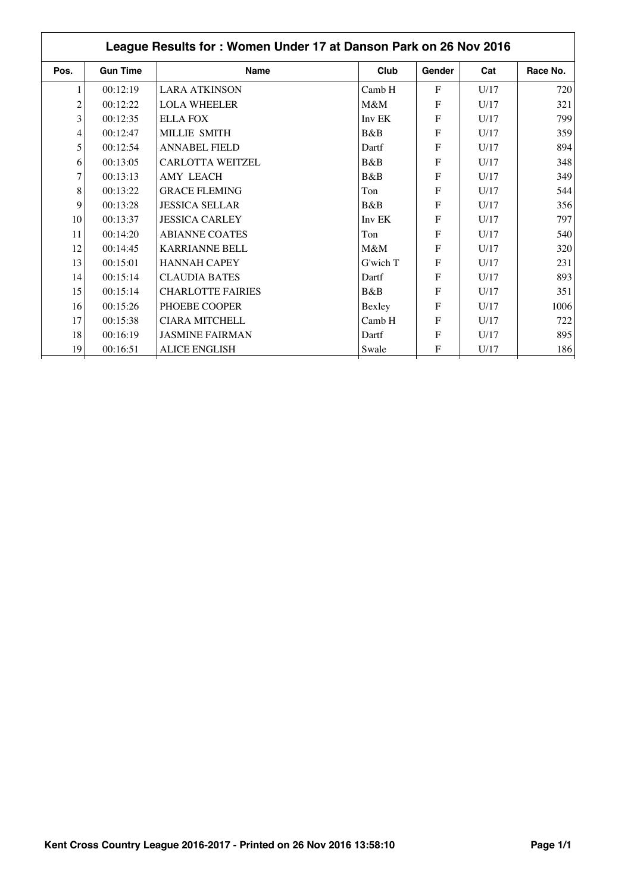|                | League Results for: Women Under 17 at Danson Park on 26 Nov 2016 |                          |          |              |      |          |  |  |
|----------------|------------------------------------------------------------------|--------------------------|----------|--------------|------|----------|--|--|
| Pos.           | <b>Gun Time</b>                                                  | <b>Name</b>              | Club     | Gender       | Cat  | Race No. |  |  |
|                | 00:12:19                                                         | <b>LARA ATKINSON</b>     | Camb H   | $\mathbf{F}$ | U/17 | 720      |  |  |
| $\overline{c}$ | 00:12:22                                                         | <b>LOLA WHEELER</b>      | M&M      | F            | U/17 | 321      |  |  |
| 3              | 00:12:35                                                         | <b>ELLA FOX</b>          | Inv EK   | ${\bf F}$    | U/17 | 799      |  |  |
| 4              | 00:12:47                                                         | MILLIE SMITH             | B&B      | F            | U/17 | 359      |  |  |
| 5              | 00:12:54                                                         | <b>ANNABEL FIELD</b>     | Dartf    | F            | U/17 | 894      |  |  |
| 6              | 00:13:05                                                         | <b>CARLOTTA WEITZEL</b>  | B&B      | F            | U/17 | 348      |  |  |
| 7              | 00:13:13                                                         | <b>AMY LEACH</b>         | B&B      | F            | U/17 | 349      |  |  |
| 8              | 00:13:22                                                         | <b>GRACE FLEMING</b>     | Ton      | F            | U/17 | 544      |  |  |
| 9              | 00:13:28                                                         | <b>JESSICA SELLAR</b>    | B&B      | F            | U/17 | 356      |  |  |
| 10             | 00:13:37                                                         | <b>JESSICA CARLEY</b>    | Inv EK   | F            | U/17 | 797      |  |  |
| 11             | 00:14:20                                                         | <b>ABIANNE COATES</b>    | Ton      | F            | U/17 | 540      |  |  |
| 12             | 00:14:45                                                         | <b>KARRIANNE BELL</b>    | $M\&M$   | F            | U/17 | 320      |  |  |
| 13             | 00:15:01                                                         | <b>HANNAH CAPEY</b>      | G'wich T | F            | U/17 | 231      |  |  |
| 14             | 00:15:14                                                         | <b>CLAUDIA BATES</b>     | Dartf    | $\mathbf{F}$ | U/17 | 893      |  |  |
| 15             | 00:15:14                                                         | <b>CHARLOTTE FAIRIES</b> | B&B      | F            | U/17 | 351      |  |  |
| 16             | 00:15:26                                                         | PHOEBE COOPER            | Bexley   | F            | U/17 | 1006     |  |  |
| 17             | 00:15:38                                                         | <b>CIARA MITCHELL</b>    | Camb H   | F            | U/17 | 722      |  |  |
| 18             | 00:16:19                                                         | <b>JASMINE FAIRMAN</b>   | Dartf    | F            | U/17 | 895      |  |  |
| 19             | 00:16:51                                                         | <b>ALICE ENGLISH</b>     | Swale    | F            | U/17 | 186      |  |  |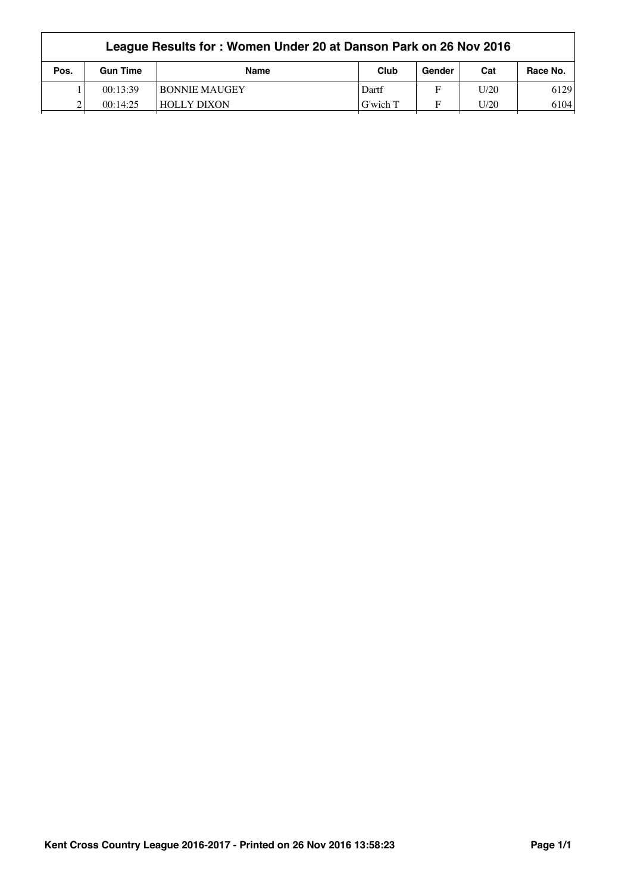| League Results for: Women Under 20 at Danson Park on 26 Nov 2016 |                 |                      |          |        |      |          |  |
|------------------------------------------------------------------|-----------------|----------------------|----------|--------|------|----------|--|
| Pos.                                                             | <b>Gun Time</b> | <b>Name</b>          | Club     | Gender | Cat  | Race No. |  |
|                                                                  | 00:13:39        | <b>BONNIE MAUGEY</b> | Dartf    | F      | U/20 | 6129     |  |
|                                                                  | 00:14:25        | <b>HOLLY DIXON</b>   | G'wich T | F      | U/20 | 6104     |  |
|                                                                  |                 |                      |          |        |      |          |  |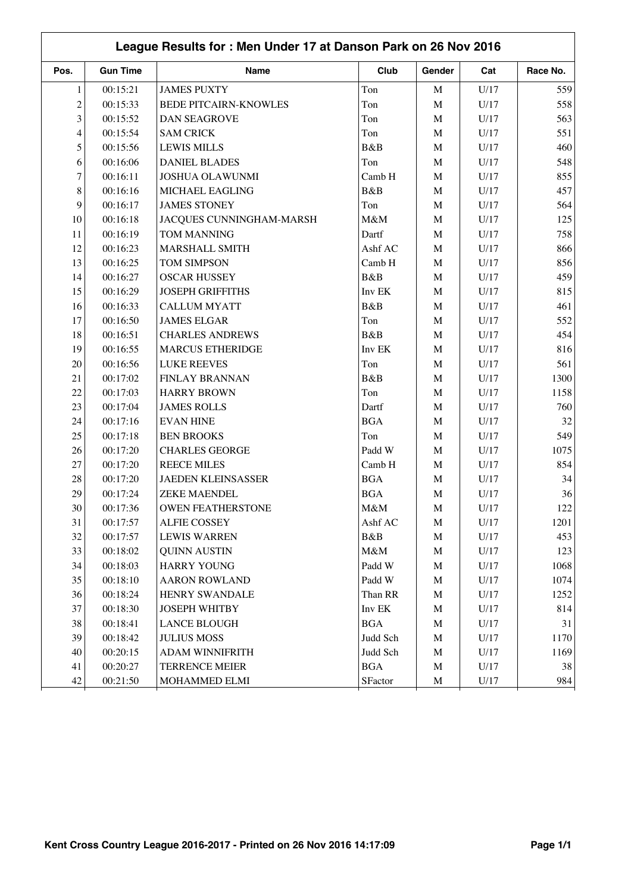|                | League Results for: Men Under 17 at Danson Park on 26 Nov 2016 |                              |            |             |                 |          |  |  |  |
|----------------|----------------------------------------------------------------|------------------------------|------------|-------------|-----------------|----------|--|--|--|
| Pos.           | <b>Gun Time</b>                                                | Name                         | Club       | Gender      | Cat             | Race No. |  |  |  |
| $\mathbf{1}$   | 00:15:21                                                       | <b>JAMES PUXTY</b>           | Ton        | M           | U/17            | 559      |  |  |  |
| $\overline{c}$ | 00:15:33                                                       | <b>BEDE PITCAIRN-KNOWLES</b> | Ton        | $\mathbf M$ | U/17            | 558      |  |  |  |
| 3              | 00:15:52                                                       | <b>DAN SEAGROVE</b>          | Ton        | $\mathbf M$ | U/17            | 563      |  |  |  |
| $\overline{4}$ | 00:15:54                                                       | <b>SAM CRICK</b>             | Ton        | M           | U/17            | 551      |  |  |  |
| 5              | 00:15:56                                                       | <b>LEWIS MILLS</b>           | B&B        | $\mathbf M$ | U/17            | 460      |  |  |  |
| 6              | 00:16:06                                                       | <b>DANIEL BLADES</b>         | Ton        | $\mathbf M$ | U/17            | 548      |  |  |  |
| 7              | 00:16:11                                                       | <b>JOSHUA OLAWUNMI</b>       | Camb H     | $\mathbf M$ | U/17            | 855      |  |  |  |
| 8              | 00:16:16                                                       | MICHAEL EAGLING              | B&B        | $\mathbf M$ | U/17            | 457      |  |  |  |
| 9              | 00:16:17                                                       | <b>JAMES STONEY</b>          | Ton        | $\mathbf M$ | U/17            | 564      |  |  |  |
| 10             | 00:16:18                                                       | JACQUES CUNNINGHAM-MARSH     | M&M        | $\mathbf M$ | U/17            | 125      |  |  |  |
| 11             | 00:16:19                                                       | <b>TOM MANNING</b>           | Dartf      | $\mathbf M$ | U/17            | 758      |  |  |  |
| 12             | 00:16:23                                                       | MARSHALL SMITH               | Ashf AC    | $\mathbf M$ | U/17            | 866      |  |  |  |
| 13             | 00:16:25                                                       | TOM SIMPSON                  | Camb H     | $\mathbf M$ | U/17            | 856      |  |  |  |
| 14             | 00:16:27                                                       | <b>OSCAR HUSSEY</b>          | B&B        | $\mathbf M$ | U/17            | 459      |  |  |  |
| 15             | 00:16:29                                                       | <b>JOSEPH GRIFFITHS</b>      | Inv EK     | $\mathbf M$ | U/17            | 815      |  |  |  |
| 16             | 00:16:33                                                       | <b>CALLUM MYATT</b>          | B&B        | $\mathbf M$ | U/17            | 461      |  |  |  |
| 17             | 00:16:50                                                       | <b>JAMES ELGAR</b>           | Ton        | $\mathbf M$ | U/17            | 552      |  |  |  |
| 18             | 00:16:51                                                       | <b>CHARLES ANDREWS</b>       | B&B        | $\mathbf M$ | U/17            | 454      |  |  |  |
| 19             | 00:16:55                                                       | <b>MARCUS ETHERIDGE</b>      | Inv EK     | M           | U/17            | 816      |  |  |  |
| 20             | 00:16:56                                                       | <b>LUKE REEVES</b>           | Ton        | $\mathbf M$ | U/17            | 561      |  |  |  |
| 21             | 00:17:02                                                       | <b>FINLAY BRANNAN</b>        | B&B        | $\mathbf M$ | U/17            | 1300     |  |  |  |
| 22             | 00:17:03                                                       | <b>HARRY BROWN</b>           | Ton        | $\mathbf M$ | U/17            | 1158     |  |  |  |
| 23             | 00:17:04                                                       | <b>JAMES ROLLS</b>           | Dartf      | $\mathbf M$ | U/17            | 760      |  |  |  |
| 24             | 00:17:16                                                       | <b>EVAN HINE</b>             | <b>BGA</b> | $\mathbf M$ | U/17            | 32       |  |  |  |
| 25             | 00:17:18                                                       | <b>BEN BROOKS</b>            | Ton        | $\mathbf M$ | U/17            | 549      |  |  |  |
| 26             | 00:17:20                                                       | <b>CHARLES GEORGE</b>        | Padd W     | M           | U/17            | 1075     |  |  |  |
| 27             | 00:17:20                                                       | <b>REECE MILES</b>           | Camb H     | $\mathbf M$ | U/17            | 854      |  |  |  |
| 28             | 00:17:20                                                       | <b>JAEDEN KLEINSASSER</b>    | <b>BGA</b> | $\mathbf M$ | U/17            | 34       |  |  |  |
| 29             | 00:17:24                                                       | <b>ZEKE MAENDEL</b>          | <b>BGA</b> | $\mathbf M$ | U/17            | 36       |  |  |  |
| 30             | 00:17:36                                                       | <b>OWEN FEATHERSTONE</b>     | M&M        | M           | U/17            | 122      |  |  |  |
| 31             | 00:17:57                                                       | <b>ALFIE COSSEY</b>          | Ashf AC    | M           | U/17            | 1201     |  |  |  |
| 32             | 00:17:57                                                       | <b>LEWIS WARREN</b>          | B&B        | $\mathbf M$ | U/17            | 453      |  |  |  |
| 33             | 00:18:02                                                       | <b>QUINN AUSTIN</b>          | M&M        | $\mathbf M$ | $\mathrm{U}/17$ | 123      |  |  |  |
| 34             | 00:18:03                                                       | <b>HARRY YOUNG</b>           | Padd W     | $\mathbf M$ | U/17            | 1068     |  |  |  |
| 35             | 00:18:10                                                       | <b>AARON ROWLAND</b>         | Padd W     | $\mathbf M$ | U/17            | 1074     |  |  |  |
| 36             | 00:18:24                                                       | HENRY SWANDALE               | Than RR    | $\mathbf M$ | U/17            | 1252     |  |  |  |
| 37             | 00:18:30                                                       | JOSEPH WHITBY                | Inv EK     | $\mathbf M$ | U/17            | 814      |  |  |  |
| 38             | 00:18:41                                                       | <b>LANCE BLOUGH</b>          | <b>BGA</b> | $\mathbf M$ | U/17            | 31       |  |  |  |
| 39             | 00:18:42                                                       | <b>JULIUS MOSS</b>           | Judd Sch   | $\mathbf M$ | U/17            | 1170     |  |  |  |
| 40             | 00:20:15                                                       | ADAM WINNIFRITH              | Judd Sch   | $\mathbf M$ | U/17            | 1169     |  |  |  |
| 41             | 00:20:27                                                       | <b>TERRENCE MEIER</b>        | <b>BGA</b> | $\mathbf M$ | U/17            | 38       |  |  |  |
| 42             | 00:21:50                                                       | MOHAMMED ELMI                | SFactor    | $\mathbf M$ | U/17            | 984      |  |  |  |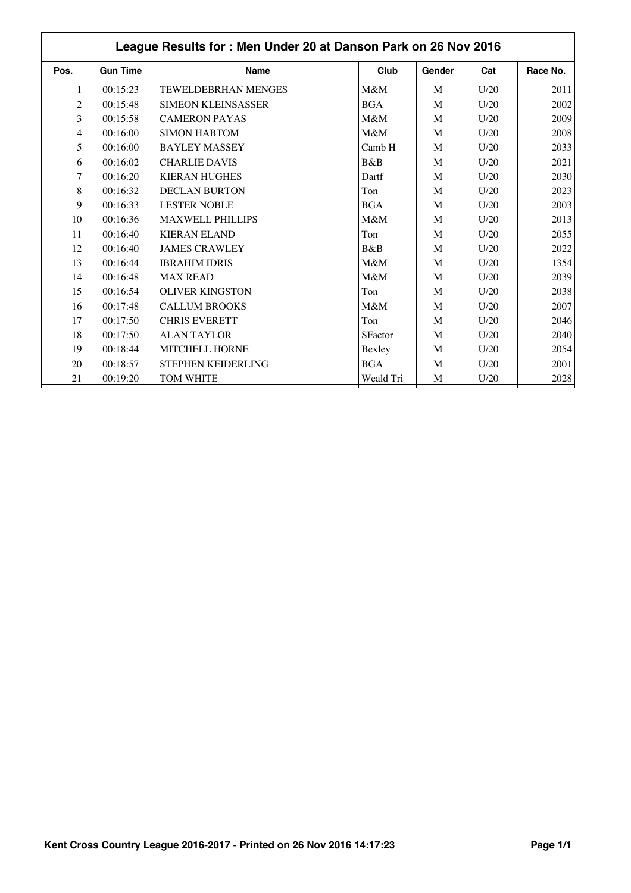|                | League Results for: Men Under 20 at Danson Park on 26 Nov 2016 |                            |                |        |      |          |  |  |  |
|----------------|----------------------------------------------------------------|----------------------------|----------------|--------|------|----------|--|--|--|
| Pos.           | <b>Gun Time</b>                                                | <b>Name</b>                | Club           | Gender | Cat  | Race No. |  |  |  |
| 1              | 00:15:23                                                       | <b>TEWELDEBRHAN MENGES</b> | M&M            | M      | U/20 | 2011     |  |  |  |
| $\overline{c}$ | 00:15:48                                                       | <b>SIMEON KLEINSASSER</b>  | <b>BGA</b>     | M      | U/20 | 2002     |  |  |  |
| 3              | 00:15:58                                                       | <b>CAMERON PAYAS</b>       | M&M            | M      | U/20 | 2009     |  |  |  |
| 4              | 00:16:00                                                       | <b>SIMON HABTOM</b>        | M&M            | M      | U/20 | 2008     |  |  |  |
| 5              | 00:16:00                                                       | <b>BAYLEY MASSEY</b>       | Camb H         | M      | U/20 | 2033     |  |  |  |
| 6              | 00:16:02                                                       | <b>CHARLIE DAVIS</b>       | B&B            | M      | U/20 | 2021     |  |  |  |
| 7              | 00:16:20                                                       | <b>KIERAN HUGHES</b>       | Dartf          | M      | U/20 | 2030     |  |  |  |
| 8              | 00:16:32                                                       | <b>DECLAN BURTON</b>       | Ton            | M      | U/20 | 2023     |  |  |  |
| 9              | 00:16:33                                                       | <b>LESTER NOBLE</b>        | <b>BGA</b>     | M      | U/20 | 2003     |  |  |  |
| 10             | 00:16:36                                                       | <b>MAXWELL PHILLIPS</b>    | M&M            | M      | U/20 | 2013     |  |  |  |
| 11             | 00:16:40                                                       | <b>KIERAN ELAND</b>        | Ton            | M      | U/20 | 2055     |  |  |  |
| 12             | 00:16:40                                                       | <b>JAMES CRAWLEY</b>       | B&B            | M      | U/20 | 2022     |  |  |  |
| 13             | 00:16:44                                                       | <b>IBRAHIM IDRIS</b>       | M&M            | M      | U/20 | 1354     |  |  |  |
| 14             | 00:16:48                                                       | <b>MAX READ</b>            | M&M            | M      | U/20 | 2039     |  |  |  |
| 15             | 00:16:54                                                       | <b>OLIVER KINGSTON</b>     | Ton            | M      | U/20 | 2038     |  |  |  |
| 16             | 00:17:48                                                       | <b>CALLUM BROOKS</b>       | M&M            | M      | U/20 | 2007     |  |  |  |
| 17             | 00:17:50                                                       | <b>CHRIS EVERETT</b>       | Ton            | M      | U/20 | 2046     |  |  |  |
| 18             | 00:17:50                                                       | <b>ALAN TAYLOR</b>         | <b>SFactor</b> | M      | U/20 | 2040     |  |  |  |
| 19             | 00:18:44                                                       | MITCHELL HORNE             | Bexley         | M      | U/20 | 2054     |  |  |  |
| 20             | 00:18:57                                                       | STEPHEN KEIDERLING         | <b>BGA</b>     | M      | U/20 | 2001     |  |  |  |
| 21             | 00:19:20                                                       | <b>TOM WHITE</b>           | Weald Tri      | M      | U/20 | 2028     |  |  |  |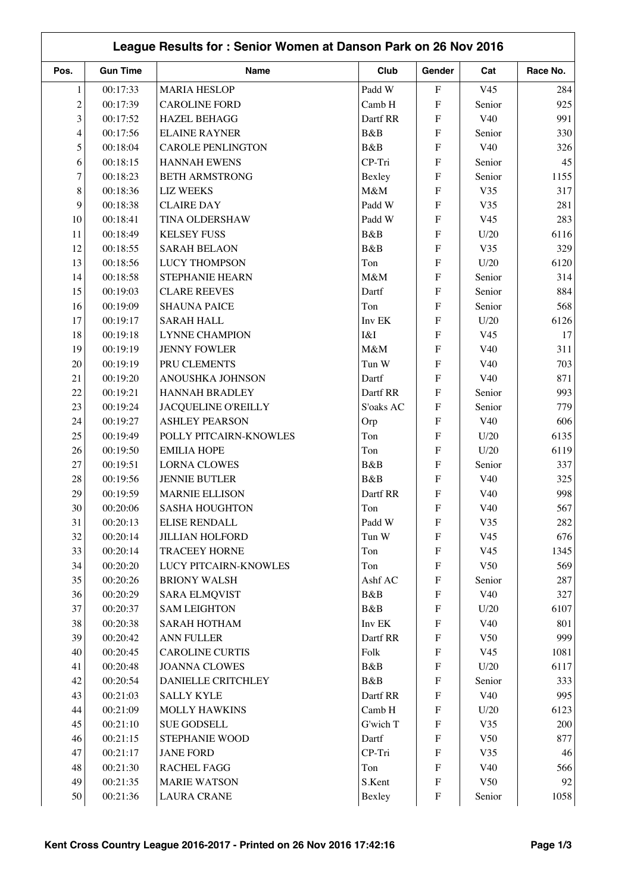|                | League Results for: Senior Women at Danson Park on 26 Nov 2016 |                              |                 |                           |                 |            |  |  |
|----------------|----------------------------------------------------------------|------------------------------|-----------------|---------------------------|-----------------|------------|--|--|
| Pos.           | <b>Gun Time</b>                                                | <b>Name</b>                  | Club            | Gender                    | Cat             | Race No.   |  |  |
| 1              | 00:17:33                                                       | <b>MARIA HESLOP</b>          | Padd W          | ${\bf F}$                 | V <sub>45</sub> | 284        |  |  |
| $\overline{c}$ | 00:17:39                                                       | <b>CAROLINE FORD</b>         | Camb H          | ${\bf F}$                 | Senior          | 925        |  |  |
| 3              | 00:17:52                                                       | <b>HAZEL BEHAGG</b>          | Dartf RR        | ${\bf F}$                 | V <sub>40</sub> | 991        |  |  |
| 4              | 00:17:56                                                       | <b>ELAINE RAYNER</b>         | B&B             | ${\bf F}$                 | Senior          | 330        |  |  |
| 5              | 00:18:04                                                       | <b>CAROLE PENLINGTON</b>     | B&B             | ${\bf F}$                 | V40             | 326        |  |  |
| 6              | 00:18:15                                                       | <b>HANNAH EWENS</b>          | CP-Tri          | ${\bf F}$                 | Senior          | 45         |  |  |
| 7              | 00:18:23                                                       | <b>BETH ARMSTRONG</b>        | Bexley          | ${\bf F}$                 | Senior          | 1155       |  |  |
| 8              | 00:18:36                                                       | <b>LIZ WEEKS</b>             | M&M             | $\rm F$                   | V35             | 317        |  |  |
| 9              | 00:18:38                                                       | <b>CLAIRE DAY</b>            | Padd W          | $\rm F$                   | V35             | 281        |  |  |
| 10             | 00:18:41                                                       | TINA OLDERSHAW               | Padd W          | $\rm F$                   | V <sub>45</sub> | 283        |  |  |
| 11             | 00:18:49                                                       | <b>KELSEY FUSS</b>           | B&B             | $\rm F$                   | U/20            | 6116       |  |  |
| 12             | 00:18:55                                                       | <b>SARAH BELAON</b>          | B&B             | $\rm F$                   | V35             | 329        |  |  |
| 13             | 00:18:56                                                       | <b>LUCY THOMPSON</b>         | Ton             | $\rm F$                   | U/20            | 6120       |  |  |
| 14             | 00:18:58                                                       | STEPHANIE HEARN              | M&M             | $\rm F$                   | Senior          | 314        |  |  |
| 15             | 00:19:03                                                       | <b>CLARE REEVES</b>          | Dartf           | ${\bf F}$                 | Senior          | 884        |  |  |
| 16             | 00:19:09                                                       | <b>SHAUNA PAICE</b>          | Ton             | $\rm F$                   | Senior          | 568        |  |  |
| 17             | 00:19:17                                                       | <b>SARAH HALL</b>            | Inv EK          | $\rm F$                   | U/20            | 6126       |  |  |
| 18             | 00:19:18                                                       | <b>LYNNE CHAMPION</b>        | I&I             | $\rm F$                   | V <sub>45</sub> | 17         |  |  |
| 19             | 00:19:19                                                       | <b>JENNY FOWLER</b>          | M&M             | ${\bf F}$                 | V40             | 311        |  |  |
| 20             | 00:19:19                                                       | PRU CLEMENTS                 | Tun W           | $\rm F$                   | V40             | 703        |  |  |
| 21             | 00:19:20                                                       | ANOUSHKA JOHNSON             | Dartf           | ${\bf F}$                 | V40             | 871        |  |  |
| 22             | 00:19:21                                                       | <b>HANNAH BRADLEY</b>        | Dartf RR        | ${\bf F}$                 | Senior          | 993        |  |  |
| 23             |                                                                |                              |                 | ${\bf F}$                 |                 | 779        |  |  |
|                | 00:19:24                                                       | <b>JACQUELINE O'REILLY</b>   | S'oaks AC       |                           | Senior          |            |  |  |
| 24<br>25       | 00:19:27                                                       | <b>ASHLEY PEARSON</b>        | Orp             | ${\bf F}$<br>${\bf F}$    | V40             | 606        |  |  |
|                | 00:19:49                                                       | POLLY PITCAIRN-KNOWLES       | Ton             |                           | U/20            | 6135       |  |  |
| 26             | 00:19:50                                                       | <b>EMILIA HOPE</b>           | Ton             | F                         | U/20            | 6119       |  |  |
| 27             | 00:19:51                                                       | <b>LORNA CLOWES</b>          | B&B             | ${\bf F}$                 | Senior          | 337        |  |  |
| 28             | 00:19:56                                                       | <b>JENNIE BUTLER</b>         | B&B<br>Dartf RR | ${\bf F}$                 | V40             | 325<br>998 |  |  |
| 29             | 00:19:59                                                       | <b>MARNIE ELLISON</b>        |                 | ${\bf F}$                 | V40             |            |  |  |
| 30             | 00:20:06                                                       | <b>SASHA HOUGHTON</b>        | Ton             | F                         | V40             | 567        |  |  |
| 31             | 00:20:13                                                       | ELISE RENDALL                | Padd W          | ${\bf F}$                 | V35             | 282        |  |  |
| 32             | 00:20:14                                                       | <b>JILLIAN HOLFORD</b>       | Tun W           | ${\bf F}$                 | V <sub>45</sub> | 676        |  |  |
| 33             | 00:20:14                                                       | <b>TRACEEY HORNE</b>         | Ton             | ${\bf F}$                 | V <sub>45</sub> | 1345       |  |  |
| 34             | 00:20:20                                                       | <b>LUCY PITCAIRN-KNOWLES</b> | Ton             | $\boldsymbol{\mathrm{F}}$ | V50             | 569        |  |  |
| 35             | 00:20:26                                                       | <b>BRIONY WALSH</b>          | Ashf AC         | $\boldsymbol{\mathrm{F}}$ | Senior          | 287        |  |  |
| 36             | 00:20:29                                                       | <b>SARA ELMQVIST</b>         | B&B             | $\boldsymbol{\mathrm{F}}$ | V40             | 327        |  |  |
| 37             | 00:20:37                                                       | <b>SAM LEIGHTON</b>          | B&B             | ${\bf F}$                 | U/20            | 6107       |  |  |
| 38             | 00:20:38                                                       | <b>SARAH HOTHAM</b>          | Inv EK          | $\boldsymbol{\mathrm{F}}$ | V40             | 801        |  |  |
| 39             | 00:20:42                                                       | ANN FULLER                   | Dartf RR        | ${\bf F}$                 | V50             | 999        |  |  |
| 40             | 00:20:45                                                       | <b>CAROLINE CURTIS</b>       | Folk            | ${\bf F}$                 | V <sub>45</sub> | 1081       |  |  |
| 41             | 00:20:48                                                       | <b>JOANNA CLOWES</b>         | B&B             | ${\bf F}$                 | U/20            | 6117       |  |  |
| 42             | 00:20:54                                                       | DANIELLE CRITCHLEY           | B&B             | ${\bf F}$                 | Senior          | 333        |  |  |
| 43             | 00:21:03                                                       | <b>SALLY KYLE</b>            | Dartf RR        | ${\rm F}$                 | V40             | 995        |  |  |
| 44             | 00:21:09                                                       | <b>MOLLY HAWKINS</b>         | Camb H          | F                         | U/20            | 6123       |  |  |
| 45             | 00:21:10                                                       | <b>SUE GODSELL</b>           | G'wich T        | $\boldsymbol{\mathrm{F}}$ | V35             | 200        |  |  |
| 46             | 00:21:15                                                       | STEPHANIE WOOD               | Dartf           | $\boldsymbol{\mathrm{F}}$ | V50             | 877        |  |  |
| 47             | 00:21:17                                                       | <b>JANE FORD</b>             | CP-Tri          | $\boldsymbol{\mathrm{F}}$ | V35             | 46         |  |  |
| 48             | 00:21:30                                                       | RACHEL FAGG                  | Ton             | ${\bf F}$                 | V40             | 566        |  |  |
| 49             | 00:21:35                                                       | <b>MARIE WATSON</b>          | S.Kent          | $\boldsymbol{\mathrm{F}}$ | V50             | 92         |  |  |
| 50             | 00:21:36                                                       | <b>LAURA CRANE</b>           | Bexley          | $\boldsymbol{\mathrm{F}}$ | Senior          | 1058       |  |  |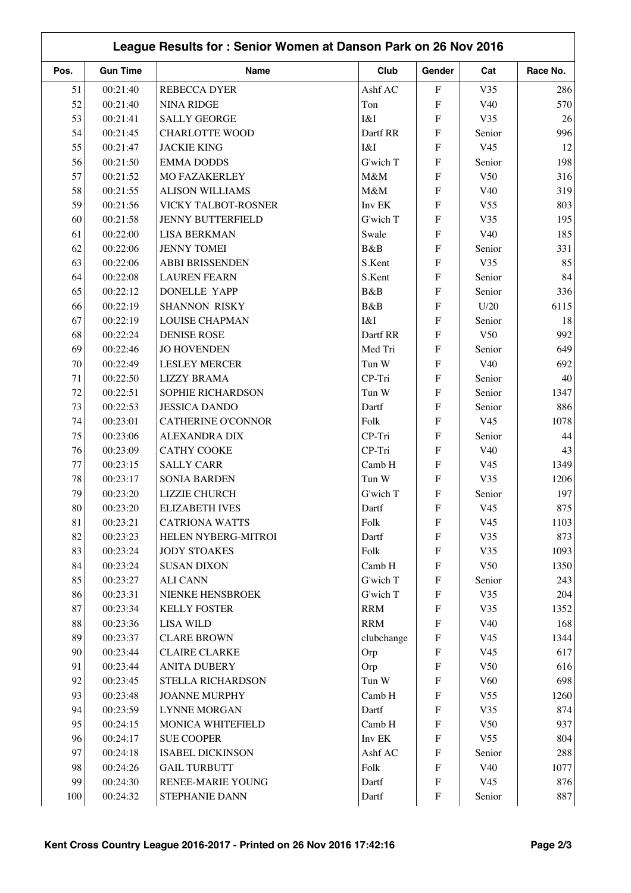| League Results for: Senior Women at Danson Park on 26 Nov 2016 |                 |                           |            |                           |                 |          |  |
|----------------------------------------------------------------|-----------------|---------------------------|------------|---------------------------|-----------------|----------|--|
| Pos.                                                           | <b>Gun Time</b> | Name                      | Club       | Gender                    | Cat             | Race No. |  |
| 51                                                             | 00:21:40        | <b>REBECCA DYER</b>       | Ashf AC    | $\boldsymbol{\mathrm{F}}$ | V35             | 286      |  |
| 52                                                             | 00:21:40        | <b>NINA RIDGE</b>         | Ton        | ${\rm F}$                 | V40             | 570      |  |
| 53                                                             | 00:21:41        | <b>SALLY GEORGE</b>       | I&I        | F                         | V35             | 26       |  |
| 54                                                             | 00:21:45        | <b>CHARLOTTE WOOD</b>     | Dartf RR   | F                         | Senior          | 996      |  |
| 55                                                             | 00:21:47        | <b>JACKIE KING</b>        | I&I        | ${\bf F}$                 | V <sub>45</sub> | 12       |  |
| 56                                                             | 00:21:50        | <b>EMMA DODDS</b>         | G'wich T   | ${\bf F}$                 | Senior          | 198      |  |
| 57                                                             | 00:21:52        | <b>MO FAZAKERLEY</b>      | M&M        | F                         | V50             | 316      |  |
| 58                                                             | 00:21:55        | <b>ALISON WILLIAMS</b>    | M&M        | ${\bf F}$                 | V40             | 319      |  |
| 59                                                             | 00:21:56        | VICKY TALBOT-ROSNER       | Inv EK     | ${\bf F}$                 | V <sub>55</sub> | 803      |  |
| 60                                                             | 00:21:58        | <b>JENNY BUTTERFIELD</b>  | G'wich T   | F                         | V35             | 195      |  |
| 61                                                             | 00:22:00        | <b>LISA BERKMAN</b>       | Swale      | ${\rm F}$                 | V40             | 185      |  |
| 62                                                             | 00:22:06        | <b>JENNY TOMEI</b>        | B&B        | ${\bf F}$                 | Senior          | 331      |  |
| 63                                                             | 00:22:06        | <b>ABBI BRISSENDEN</b>    | S.Kent     | ${\bf F}$                 | V35             | 85       |  |
| 64                                                             | 00:22:08        | <b>LAUREN FEARN</b>       | S.Kent     | ${\rm F}$                 | Senior          | 84       |  |
| 65                                                             | 00:22:12        | <b>DONELLE YAPP</b>       | B&B        | ${\rm F}$                 | Senior          | 336      |  |
| 66                                                             | 00:22:19        | <b>SHANNON RISKY</b>      | B&B        | F                         | U/20            | 6115     |  |
| 67                                                             | 00:22:19        | <b>LOUISE CHAPMAN</b>     | I&I        | F                         | Senior          | 18       |  |
| 68                                                             | 00:22:24        | <b>DENISE ROSE</b>        | Dartf RR   | $\boldsymbol{\mathrm{F}}$ | V <sub>50</sub> | 992      |  |
| 69                                                             | 00:22:46        | <b>JO HOVENDEN</b>        | Med Tri    | $\boldsymbol{\mathrm{F}}$ | Senior          | 649      |  |
| 70                                                             | 00:22:49        | <b>LESLEY MERCER</b>      | Tun W      | $\boldsymbol{\mathrm{F}}$ | V <sub>40</sub> | 692      |  |
| 71                                                             | 00:22:50        | <b>LIZZY BRAMA</b>        | CP-Tri     | ${\bf F}$                 | Senior          | 40       |  |
| 72                                                             | 00:22:51        | SOPHIE RICHARDSON         | Tun W      | $\boldsymbol{\mathrm{F}}$ | Senior          | 1347     |  |
| 73                                                             | 00:22:53        | <b>JESSICA DANDO</b>      | Dartf      | ${\bf F}$                 | Senior          | 886      |  |
| 74                                                             | 00:23:01        | <b>CATHERINE O'CONNOR</b> | Folk       | F                         | V <sub>45</sub> | 1078     |  |
| 75                                                             | 00:23:06        | <b>ALEXANDRA DIX</b>      | CP-Tri     | ${\bf F}$                 | Senior          | 44       |  |
| 76                                                             | 00:23:09        | <b>CATHY COOKE</b>        | CP-Tri     | F                         | V40             | 43       |  |
| 77                                                             | 00:23:15        | <b>SALLY CARR</b>         | Camb H     | ${\rm F}$                 | V <sub>45</sub> | 1349     |  |
| 78                                                             | 00:23:17        | <b>SONIA BARDEN</b>       | Tun W      | ${\rm F}$                 | V35             | 1206     |  |
| 79                                                             | 00:23:20        | LIZZIE CHURCH             | G'wich T   | ${\bf F}$                 | Senior          | 197      |  |
| 80                                                             | 00:23:20        | <b>ELIZABETH IVES</b>     | Dartf      | F                         | V45             | 875      |  |
| 81                                                             | 00:23:21        | <b>CATRIONA WATTS</b>     | Folk       | ${\bf F}$                 | V <sub>45</sub> | 1103     |  |
| 82                                                             | 00:23:23        | HELEN NYBERG-MITROI       | Dartf      | ${\bf F}$                 | V35             | 873      |  |
| 83                                                             | 00:23:24        | <b>JODY STOAKES</b>       | Folk       | ${\bf F}$                 | V35             | 1093     |  |
| 84                                                             | 00:23:24        | <b>SUSAN DIXON</b>        | Camb H     | ${\bf F}$                 | V50             | 1350     |  |
| 85                                                             | 00:23:27        | <b>ALI CANN</b>           | G'wich T   | $\boldsymbol{\mathrm{F}}$ | Senior          | 243      |  |
| 86                                                             | 00:23:31        | NIENKE HENSBROEK          | G'wich T   | $\boldsymbol{\mathrm{F}}$ | V35             | 204      |  |
| 87                                                             | 00:23:34        | <b>KELLY FOSTER</b>       | <b>RRM</b> | ${\bf F}$                 | V35             | 1352     |  |
| 88                                                             | 00:23:36        | <b>LISA WILD</b>          | <b>RRM</b> | ${\bf F}$                 | V40             | 168      |  |
| 89                                                             | 00:23:37        | <b>CLARE BROWN</b>        | clubchange | $\boldsymbol{\mathrm{F}}$ | V <sub>45</sub> | 1344     |  |
| 90                                                             | 00:23:44        | <b>CLAIRE CLARKE</b>      | Orp        | ${\rm F}$                 | V <sub>45</sub> | 617      |  |
| 91                                                             | 00:23:44        | <b>ANITA DUBERY</b>       | Orp        | $\boldsymbol{\mathrm{F}}$ | V50             | 616      |  |
| 92                                                             | 00:23:45        | STELLA RICHARDSON         | Tun W      | ${\bf F}$                 | V60             | 698      |  |
| 93                                                             | 00:23:48        | <b>JOANNE MURPHY</b>      | Camb H     | ${\bf F}$                 | V <sub>55</sub> | 1260     |  |
| 94                                                             | 00:23:59        | <b>LYNNE MORGAN</b>       | Dartf      | ${\bf F}$                 | V35             | 874      |  |
| 95                                                             | 00:24:15        | MONICA WHITEFIELD         | Camb H     | $\boldsymbol{\mathrm{F}}$ | V50             | 937      |  |
| 96                                                             | 00:24:17        | <b>SUE COOPER</b>         | Inv EK     | $\boldsymbol{\mathrm{F}}$ | V <sub>55</sub> | 804      |  |
| 97                                                             | 00:24:18        | <b>ISABEL DICKINSON</b>   | Ashf AC    | ${\bf F}$                 | Senior          | 288      |  |
| 98                                                             | 00:24:26        | <b>GAIL TURBUTT</b>       | Folk       | ${\bf F}$                 | V40             | 1077     |  |
| 99                                                             | 00:24:30        | RENEE-MARIE YOUNG         | Dartf      | $\boldsymbol{\mathrm{F}}$ | V <sub>45</sub> | 876      |  |
| 100                                                            | 00:24:32        | STEPHANIE DANN            | Dartf      | ${\bf F}$                 | Senior          | 887      |  |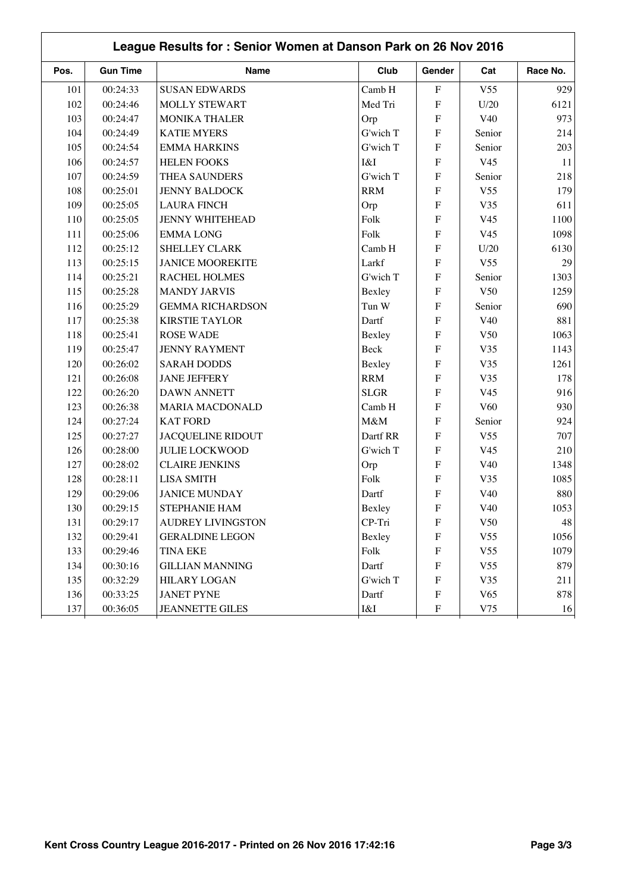| League Results for: Senior Women at Danson Park on 26 Nov 2016 |                 |                          |             |                           |                 |          |  |  |  |
|----------------------------------------------------------------|-----------------|--------------------------|-------------|---------------------------|-----------------|----------|--|--|--|
| Pos.                                                           | <b>Gun Time</b> | Name                     | Club        | Gender                    | Cat             | Race No. |  |  |  |
| 101                                                            | 00:24:33        | <b>SUSAN EDWARDS</b>     | Camb H      | $\boldsymbol{\mathrm{F}}$ | V <sub>55</sub> | 929      |  |  |  |
| 102                                                            | 00:24:46        | MOLLY STEWART            | Med Tri     | ${\bf F}$                 | U/20            | 6121     |  |  |  |
| 103                                                            | 00:24:47        | <b>MONIKA THALER</b>     | Orp         | $\mathbf F$               | V40             | 973      |  |  |  |
| 104                                                            | 00:24:49        | <b>KATIE MYERS</b>       | G'wich T    | $\overline{F}$            | Senior          | 214      |  |  |  |
| 105                                                            | 00:24:54        | <b>EMMA HARKINS</b>      | G'wich T    | $\overline{F}$            | Senior          | 203      |  |  |  |
| 106                                                            | 00:24:57        | <b>HELEN FOOKS</b>       | I&I         | $\overline{F}$            | V <sub>45</sub> | 11       |  |  |  |
| 107                                                            | 00:24:59        | THEA SAUNDERS            | G'wich T    | $\overline{F}$            | Senior          | 218      |  |  |  |
| 108                                                            | 00:25:01        | <b>JENNY BALDOCK</b>     | <b>RRM</b>  | $\mathbf F$               | V <sub>55</sub> | 179      |  |  |  |
| 109                                                            | 00:25:05        | <b>LAURA FINCH</b>       | Orp         | $\mathbf F$               | V35             | 611      |  |  |  |
| 110                                                            | 00:25:05        | <b>JENNY WHITEHEAD</b>   | Folk        | $\overline{F}$            | V <sub>45</sub> | 1100     |  |  |  |
| 111                                                            | 00:25:06        | <b>EMMALONG</b>          | Folk        | ${\bf F}$                 | V <sub>45</sub> | 1098     |  |  |  |
| 112                                                            | 00:25:12        | SHELLEY CLARK            | Camb H      | $\overline{F}$            | U/20            | 6130     |  |  |  |
| 113                                                            | 00:25:15        | <b>JANICE MOOREKITE</b>  | Larkf       | ${\bf F}$                 | V <sub>55</sub> | 29       |  |  |  |
| 114                                                            | 00:25:21        | RACHEL HOLMES            | G'wich T    | $\overline{F}$            | Senior          | 1303     |  |  |  |
| 115                                                            | 00:25:28        | <b>MANDY JARVIS</b>      | Bexley      | ${\bf F}$                 | V <sub>50</sub> | 1259     |  |  |  |
| 116                                                            | 00:25:29        | <b>GEMMA RICHARDSON</b>  | Tun W       | ${\bf F}$                 | Senior          | 690      |  |  |  |
| 117                                                            | 00:25:38        | <b>KIRSTIE TAYLOR</b>    | Dartf       | ${\bf F}$                 | V40             | 881      |  |  |  |
| 118                                                            | 00:25:41        | <b>ROSE WADE</b>         | Bexley      | $\mathbf F$               | V <sub>50</sub> | 1063     |  |  |  |
| 119                                                            | 00:25:47        | <b>JENNY RAYMENT</b>     | <b>Beck</b> | $\overline{F}$            | V35             | 1143     |  |  |  |
| 120                                                            | 00:26:02        | <b>SARAH DODDS</b>       | Bexley      | $\boldsymbol{\mathrm{F}}$ | V35             | 1261     |  |  |  |
| 121                                                            | 00:26:08        | <b>JANE JEFFERY</b>      | <b>RRM</b>  | $\mathbf F$               | V35             | 178      |  |  |  |
| 122                                                            | 00:26:20        | <b>DAWN ANNETT</b>       | <b>SLGR</b> | $\overline{F}$            | V <sub>45</sub> | 916      |  |  |  |
| 123                                                            | 00:26:38        | <b>MARIA MACDONALD</b>   | Camb H      | $\mathbf F$               | V60             | 930      |  |  |  |
| 124                                                            | 00:27:24        | <b>KAT FORD</b>          | M&M         | ${\bf F}$                 | Senior          | 924      |  |  |  |
| 125                                                            | 00:27:27        | <b>JACQUELINE RIDOUT</b> | Dartf RR    | $\mathbf F$               | V <sub>55</sub> | 707      |  |  |  |
| 126                                                            | 00:28:00        | <b>JULIE LOCKWOOD</b>    | G'wich T    | ${\bf F}$                 | V <sub>45</sub> | 210      |  |  |  |
| 127                                                            | 00:28:02        | <b>CLAIRE JENKINS</b>    | Orp         | $\overline{F}$            | V40             | 1348     |  |  |  |
| 128                                                            | 00:28:11        | <b>LISA SMITH</b>        | Folk        | ${\bf F}$                 | V35             | 1085     |  |  |  |
| 129                                                            | 00:29:06        | <b>JANICE MUNDAY</b>     | Dartf       | $\overline{F}$            | V40             | 880      |  |  |  |
| 130                                                            | 00:29:15        | STEPHANIE HAM            | Bexley      | F                         | V40             | 1053     |  |  |  |
| 131                                                            | 00:29:17        | <b>AUDREY LIVINGSTON</b> | CP-Tri      | $\boldsymbol{\mathrm{F}}$ | V50             | 48       |  |  |  |
| 132                                                            | 00:29:41        | <b>GERALDINE LEGON</b>   | Bexley      | $\boldsymbol{\mathrm{F}}$ | V <sub>55</sub> | 1056     |  |  |  |
| 133                                                            | 00:29:46        | <b>TINA EKE</b>          | Folk        | $\boldsymbol{\mathrm{F}}$ | V <sub>55</sub> | 1079     |  |  |  |
| 134                                                            | 00:30:16        | <b>GILLIAN MANNING</b>   | Dartf       | ${\bf F}$                 | V <sub>55</sub> | 879      |  |  |  |
| 135                                                            | 00:32:29        | <b>HILARY LOGAN</b>      | G'wich T    | ${\bf F}$                 | V35             | 211      |  |  |  |
| 136                                                            | 00:33:25        | <b>JANET PYNE</b>        | Dartf       | ${\bf F}$                 | V65             | 878      |  |  |  |
| 137                                                            | 00:36:05        | <b>JEANNETTE GILES</b>   | I&I         | $\boldsymbol{\mathrm{F}}$ | V75             | 16       |  |  |  |